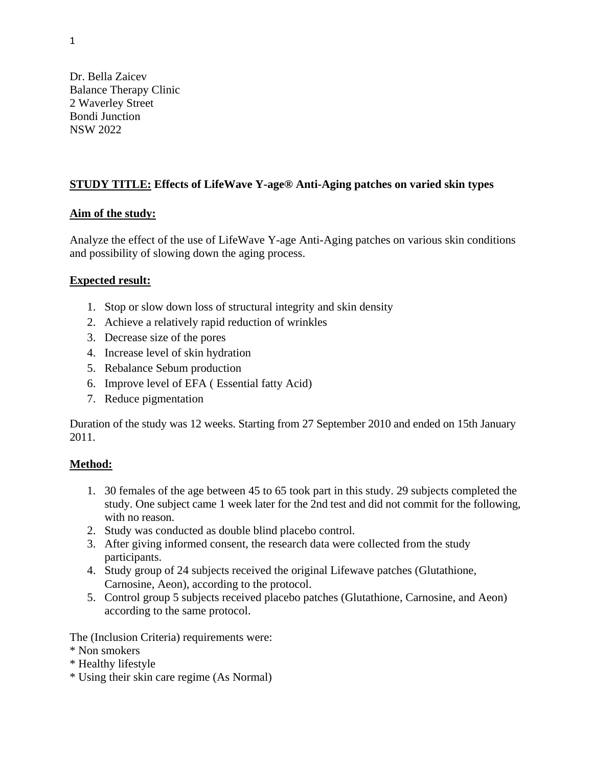Dr. Bella Zaicev Balance Therapy Clinic 2 Waverley Street Bondi Junction NSW 2022

## **STUDY TITLE: Effects of LifeWave Y-age® Anti-Aging patches on varied skin types**

#### **Aim of the study:**

Analyze the effect of the use of LifeWave Y-age Anti-Aging patches on various skin conditions and possibility of slowing down the aging process.

#### **Expected result:**

- 1. Stop or slow down loss of structural integrity and skin density
- 2. Achieve a relatively rapid reduction of wrinkles
- 3. Decrease size of the pores
- 4. Increase level of skin hydration
- 5. Rebalance Sebum production
- 6. Improve level of EFA ( Essential fatty Acid)
- 7. Reduce pigmentation

Duration of the study was 12 weeks. Starting from 27 September 2010 and ended on 15th January 2011.

#### **Method:**

- 1. 30 females of the age between 45 to 65 took part in this study. 29 subjects completed the study. One subject came 1 week later for the 2nd test and did not commit for the following, with no reason.
- 2. Study was conducted as double blind placebo control.
- 3. After giving informed consent, the research data were collected from the study participants.
- 4. Study group of 24 subjects received the original Lifewave patches (Glutathione, Carnosine, Aeon), according to the protocol.
- 5. Control group 5 subjects received placebo patches (Glutathione, Carnosine, and Aeon) according to the same protocol.

The (Inclusion Criteria) requirements were:

- \* Non smokers
- \* Healthy lifestyle
- \* Using their skin care regime (As Normal)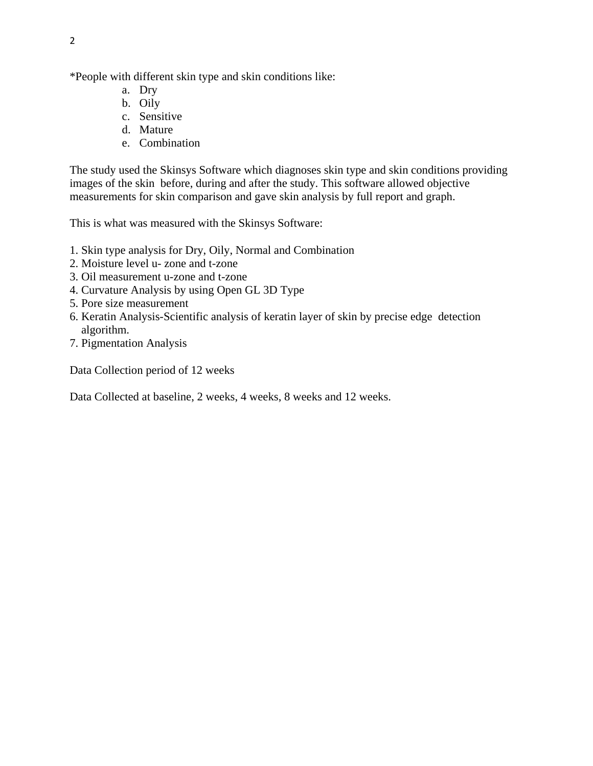\*People with different skin type and skin conditions like:

- a. Dry
- b. Oily
- c. Sensitive
- d. Mature
- e. Combination

The study used the Skinsys Software which diagnoses skin type and skin conditions providing images of the skin before, during and after the study. This software allowed objective measurements for skin comparison and gave skin analysis by full report and graph.

This is what was measured with the Skinsys Software:

- 1. Skin type analysis for Dry, Oily, Normal and Combination
- 2. Moisture level u- zone and t-zone
- 3. Oil measurement u-zone and t-zone
- 4. Curvature Analysis by using Open GL 3D Type
- 5. Pore size measurement
- 6. Keratin Analysis-Scientific analysis of keratin layer of skin by precise edge detection algorithm.
- 7. Pigmentation Analysis

Data Collection period of 12 weeks

Data Collected at baseline, 2 weeks, 4 weeks, 8 weeks and 12 weeks.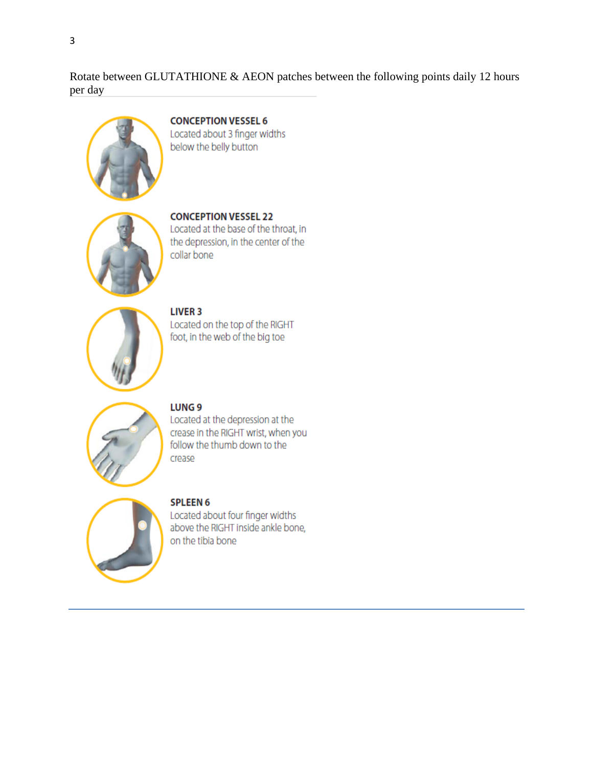Rotate between GLUTATHIONE & AEON patches between the following points daily 12 hours per day



#### **CONCEPTION VESSEL 6**

Located about 3 finger widths below the belly button



#### **CONCEPTION VESSEL 22**

Located at the base of the throat, in the depression, in the center of the collar bone



**LIVER 3** 

Located on the top of the RIGHT foot, in the web of the big toe



**LUNG 9** Located at the depression at the crease in the RIGHT wrist, when you follow the thumb down to the crease



#### **SPLEEN 6**

Located about four finger widths above the RIGHT inside ankle bone, on the tibia bone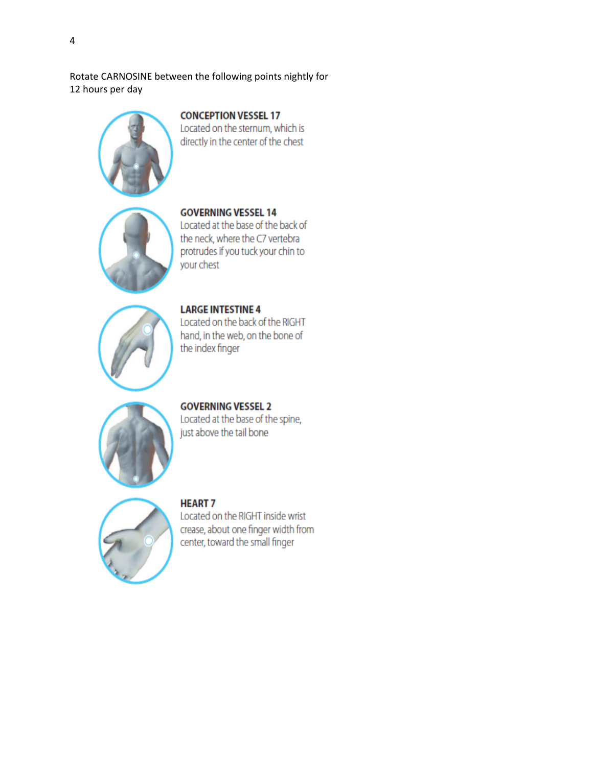Rotate CARNOSINE between the following points nightly for 12 hours per day



**CONCEPTION VESSEL 17** 

Located on the sternum, which is directly in the center of the chest



**GOVERNING VESSEL 14** Located at the base of the back of the neck, where the C7 vertebra protrudes if you tuck your chin to your chest



**LARGE INTESTINE 4** Located on the back of the RIGHT hand, in the web, on the bone of the index finger



**GOVERNING VESSEL 2** Located at the base of the spine, just above the tail bone



**HEART7** 

Located on the RIGHT inside wrist crease, about one finger width from center, toward the small finger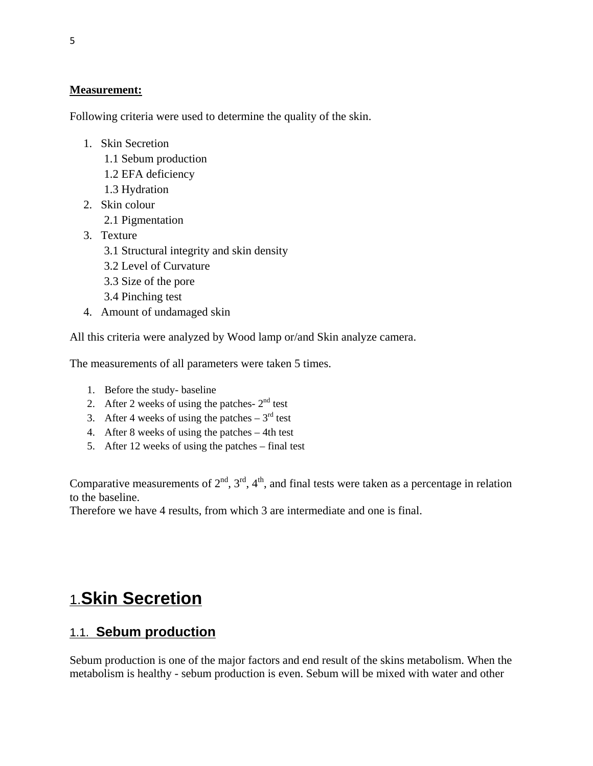#### **Measurement:**

Following criteria were used to determine the quality of the skin.

- 1. Skin Secretion
	- 1.1 Sebum production
	- 1.2 EFA deficiency
	- 1.3 Hydration
- 2. Skin colour
	- 2.1 Pigmentation
- 3. Texture
	- 3.1 Structural integrity and skin density
	- 3.2 Level of Curvature
	- 3.3 Size of the pore
	- 3.4 Pinching test
- 4. Amount of undamaged skin

All this criteria were analyzed by Wood lamp or/and Skin analyze camera.

The measurements of all parameters were taken 5 times.

- 1. Before the study- baseline
- 2. After 2 weeks of using the patches-  $2<sup>nd</sup>$  test
- 3. After 4 weeks of using the patches  $-3<sup>rd</sup>$  test
- 4. After 8 weeks of using the patches 4th test
- 5. After 12 weeks of using the patches final test

Comparative measurements of  $2<sup>nd</sup>$ ,  $3<sup>rd</sup>$ ,  $4<sup>th</sup>$ , and final tests were taken as a percentage in relation to the baseline.

Therefore we have 4 results, from which 3 are intermediate and one is final.

# 1.**Skin Secretion**

# 1.1. **Sebum production**

Sebum production is one of the major factors and end result of the skins metabolism. When the metabolism is healthy - sebum production is even. Sebum will be mixed with water and other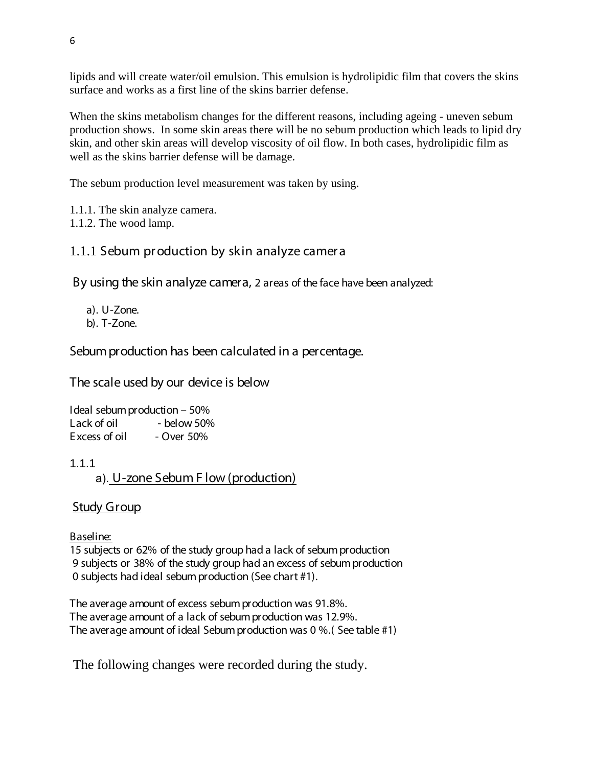lipids and will create water/oil emulsion. This emulsion is hydrolipidic film that covers the skins surface and works as a first line of the skins barrier defense.

When the skins metabolism changes for the different reasons, including ageing - uneven sebum production shows. In some skin areas there will be no sebum production which leads to lipid dry skin, and other skin areas will develop viscosity of oil flow. In both cases, hydrolipidic film as well as the skins barrier defense will be damage.

The sebum production level measurement was taken by using.

- 1.1.1. The skin analyze camera.
- 1.1.2. The wood lamp.

# 1.1.1 Sebum pr oduction by skin analyze camer a

By using the skin analyze camera, 2 areas of the face have been analyzed:

 a). U-Zone. b). T-Zone.

Sebum production has been calculated in a percentage.

The scale used by our device is below

Ideal sebum production – 50% Lack of oil **Fack of oil**<br>Excess of oil Faces 50%  $-$  Over 50%

1.1.1

а). U-zone Sebum F low (production)

#### Study Group

Baseline:

15 subjects or 62% of the study group had a lack of sebum production 9 subjects or 38% of the study group had an excess of sebum production 0 subjects had ideal sebum production (See chart #1).

The average amount of excess sebum production was 91.8%. The average amount of a lack of sebum production was 12.9%. The average amount of ideal Sebum production was 0 %.( See table #1)

The following changes were recorded during the study.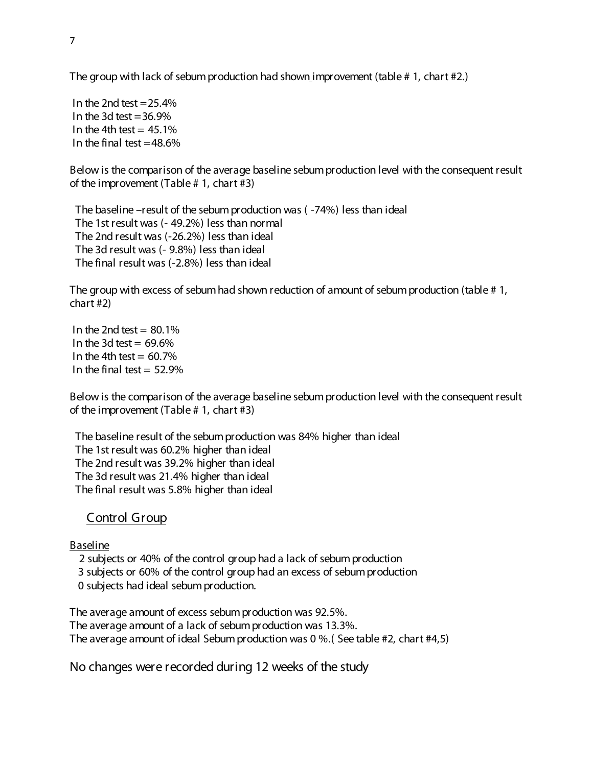The group with lack of sebum production had shown improvement (table # 1, chart #2.)

In the 2nd test  $= 25.4\%$ In the 3d test  $=$  36.9% In the 4th test  $= 45.1\%$ In the final test  $=48.6\%$ 

Below is the comparison of the average baseline sebum production level with the consequent result of the improvement (Table # 1, chart #3)

 The baseline –result of the sebum production was ( -74%) less than ideal The 1st result was (- 49.2%) less than normal The 2nd result was (-26.2%) less than ideal The 3d result was (- 9.8%) less than ideal The final result was (-2.8%) less than ideal

The group with excess of sebum had shown reduction of amount of sebum production (table # 1, chart #2)

In the 2nd test  $= 80.1\%$ In the 3d test  $= 69.6\%$ In the 4th test  $= 60.7\%$ In the final test  $= 52.9%$ 

Below is the comparison of the average baseline sebum production level with the consequent result of the improvement (Table # 1, chart #3)

 The baseline result of the sebum production was 84% higher than ideal The 1st result was 60.2% higher than ideal The 2nd result was 39.2% higher than ideal The 3d result was 21.4% higher than ideal The final result was 5.8% higher than ideal

# Control Group

#### Baseline

 2 subjects or 40% of the control group had a lack of sebum production 3 subjects or 60% of the control group had an excess of sebum production 0 subjects had ideal sebum production.

The average amount of excess sebum production was 92.5%. The average amount of a lack of sebum production was 13.3%. The average amount of ideal Sebum production was 0 %.( See table #2, chart #4,5)

No changes were recorded during 12 weeks of the study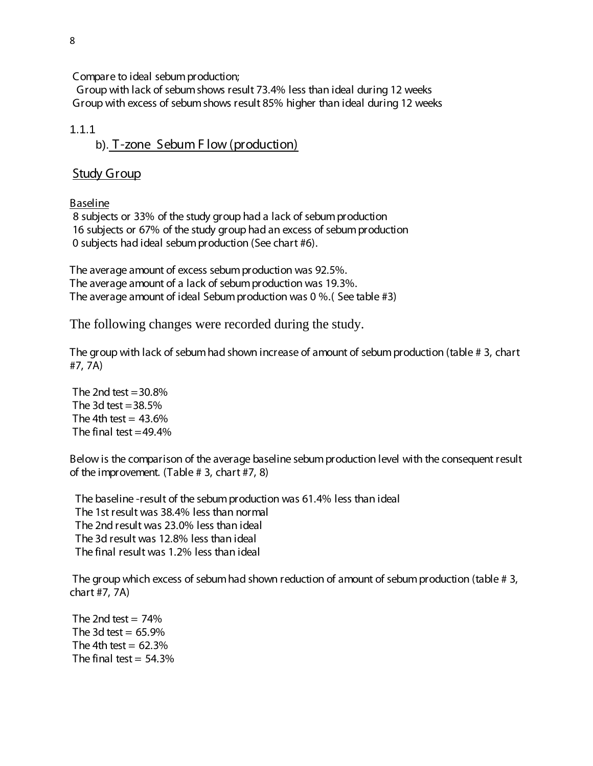Compare to ideal sebum production;

Group with lack of sebum shows result 73.4% less than ideal during 12 weeks Group with excess of sebum shows result 85% higher than ideal during 12 weeks

1.1.1

b). T-zone Sebum F low (production)

# Study Group

Baseline

8 subjects or 33% of the study group had a lack of sebum production 16 subjects or 67% of the study group had an excess of sebum production 0 subjects had ideal sebum production (See chart #6).

The average amount of excess sebum production was 92.5%. The average amount of a lack of sebum production was 19.3%. The average amount of ideal Sebum production was 0 %.( See table #3)

The following changes were recorded during the study.

The group with lack of sebum had shown increase of amount of sebum production (table # 3, chart #7, 7A)

The 2nd test  $=$  30.8% The 3d test  $=$  38.5% The 4th test  $= 43.6\%$ The final test  $=49.4\%$ 

Below is the comparison of the average baseline sebum production level with the consequent result of the improvement. (Table # 3, chart #7, 8)

 The baseline -result of the sebum production was 61.4% less than ideal The 1st result was 38.4% less than normal The 2nd result was 23.0% less than ideal The 3d result was 12.8% less than ideal The final result was 1.2% less than ideal

The group which excess of sebum had shown reduction of amount of sebum production (table # 3, chart #7, 7A)

The 2nd test  $= 74\%$ The 3d test  $= 65.9\%$ The 4th test  $= 62.3\%$ The final test  $= 54.3\%$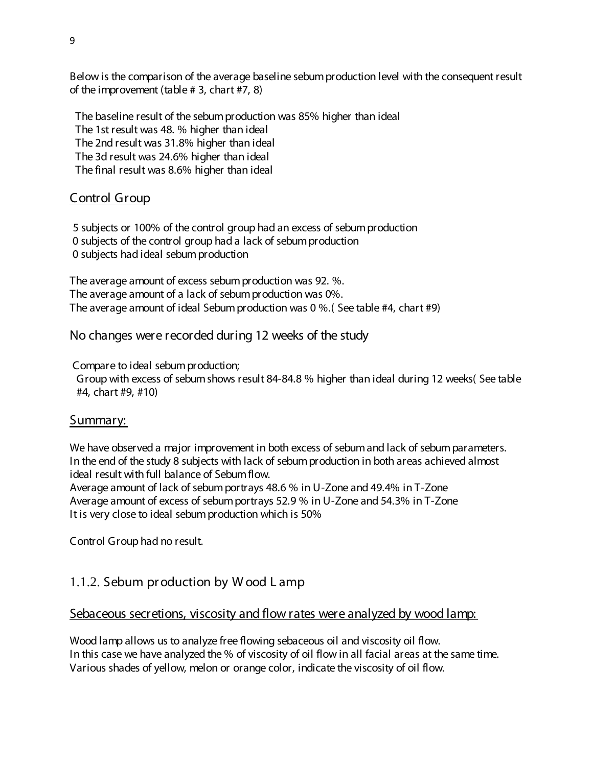Below is the comparison of the average baseline sebum production level with the consequent result of the improvement (table # 3, chart #7, 8)

 The baseline result of the sebum production was 85% higher than ideal The 1st result was 48. % higher than ideal The 2nd result was 31.8% higher than ideal The 3d result was 24.6% higher than ideal The final result was 8.6% higher than ideal

# Control Group

5 subjects or 100% of the control group had an excess of sebum production 0 subjects of the control group had a lack of sebum production 0 subjects had ideal sebum production

The average amount of excess sebum production was 92. %. The average amount of a lack of sebum production was 0%. The average amount of ideal Sebum production was 0 %.( See table #4, chart #9)

No changes were recorded during 12 weeks of the study

Compare to ideal sebum production;

Group with excess of sebum shows result 84-84.8 % higher than ideal during 12 weeks( See table #4, chart #9, #10)

#### Summary:

We have observed a major improvement in both excess of sebum and lack of sebum parameters. In the end of the study 8 subjects with lack of sebum production in both areas achieved almost ideal result with full balance of Sebum flow. Average amount of lack of sebum portrays 48.6 % in U-Zone and 49.4% in T-Zone Average amount of excess of sebum portrays 52.9 % in U-Zone and 54.3% in T-Zone It is very close to ideal sebum production which is 50%

Control Group had no result.

# 1.1.2. Sebum pr oduction by W ood L amp

# Sebaceous secretions, viscosity and flow rates were analyzed by wood lamp:

Wood lamp allows us to analyze free flowing sebaceous oil and viscosity oil flow. In this case we have analyzed the % of viscosity of oil flow in all facial areas at the same time. Various shades of yellow, melon or orange color, indicate the viscosity of oil flow.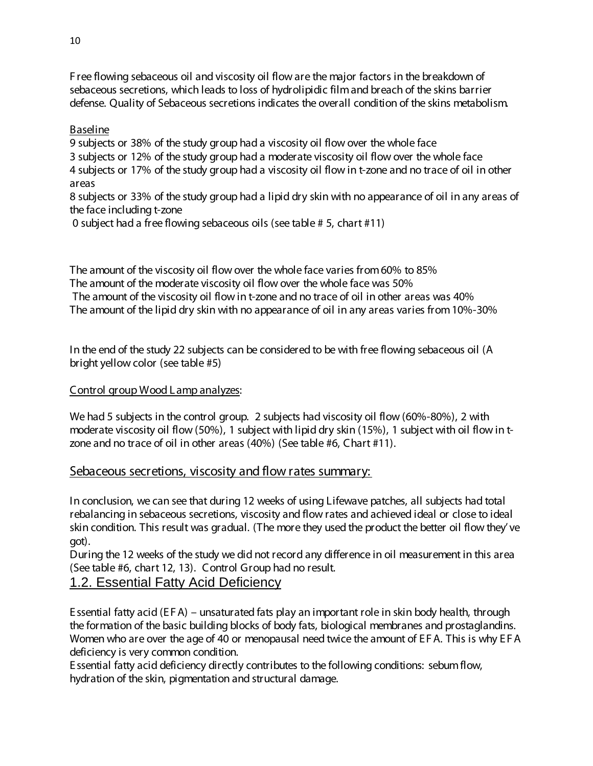F ree flowing sebaceous oil and viscosity oil flow are the major factors in the breakdown of sebaceous secretions, which leads to loss of hydrolipidic film and breach of the skins barrier defense. Quality of Sebaceous secretions indicates the overall condition of the skins metabolism.

# Baseline

9 subjects or 38% of the study group had a viscosity oil flow over the whole face

3 subjects or 12% of the study group had a moderate viscosity oil flow over the whole face

4 subjects or 17% of the study group had a viscosity oil flow in t-zone and no trace of oil in other areas

8 subjects or 33% of the study group had a lipid dry skin with no appearance of oil in any areas of the face including t-zone

0 subject had a free flowing sebaceous oils (see table # 5, chart #11)

The amount of the viscosity oil flow over the whole face varies from 60% to 85% The amount of the moderate viscosity oil flow over the whole face was 50% The amount of the viscosity oil flow in t-zone and no trace of oil in other areas was 40% The amount of the lipid dry skin with no appearance of oil in any areas varies from 10%-30%

In the end of the study 22 subjects can be considered to be with free flowing sebaceous oil (A bright yellow color (see table #5)

# Control group Wood L amp analyzes:

We had 5 subjects in the control group. 2 subjects had viscosity oil flow (60%-80%), 2 with moderate viscosity oil flow (50%), 1 subject with lipid dry skin (15%), 1 subject with oil flow in tzone and no trace of oil in other areas (40%) (See table #6, Chart #11).

# Sebaceous secretions, viscosity and flow rates summary:

In conclusion, we can see that during 12 weeks of using Lifewave patches, all subjects had total rebalancing in sebaceous secretions, viscosity and flow rates and achieved ideal or close to ideal skin condition. This result was gradual. (The more they used the product the better oil flow they' ve got).

During the 12 weeks of the study we did not record any difference in oil measurement in this area (See table #6, chart 12, 13). Control Group had no result.

# 1.2. Essential Fatty Acid Deficiency

E ssential fatty acid (E F A) – unsaturated fats play an important role in skin body health, through the formation of the basic building blocks of body fats, biological membranes and prostaglandins. Women who are over the age of 40 or menopausal need twice the amount of E F A. This is why E F A deficiency is very common condition.

E ssential fatty acid deficiency directly contributes to the following conditions: sebum flow, hydration of the skin, pigmentation and structural damage.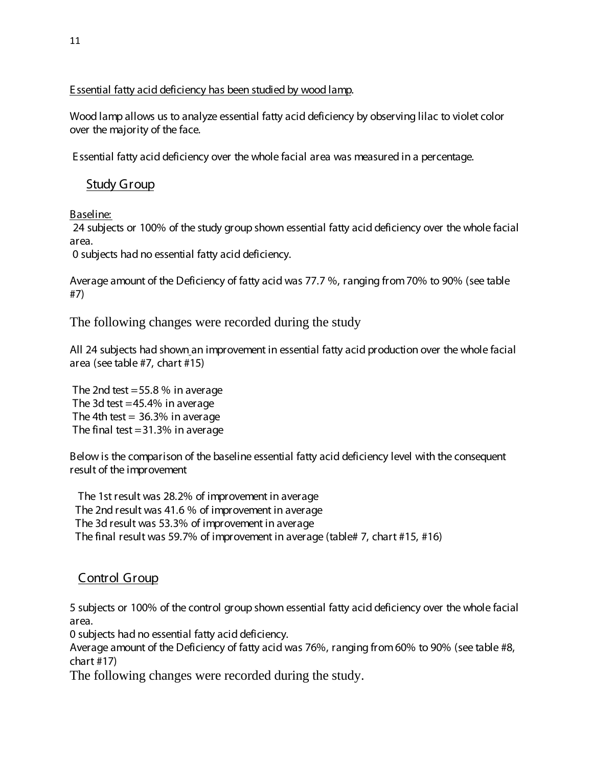E ssential fatty acid deficiency has been studied by wood lamp.

Wood lamp allows us to analyze essential fatty acid deficiency by observing lilac to violet color over the majority of the face.

E ssential fatty acid deficiency over the whole facial area was measured in a percentage.

# Study Group

Baseline:

24 subjects or 100% of the study group shown essential fatty acid deficiency over the whole facial area.

0 subjects had no essential fatty acid deficiency.

Average amount of the Deficiency of fatty acid was 77.7 %, ranging from 70% to 90% (see table #7)

The following changes were recorded during the study

All 24 subjects had shown an improvement in essential fatty acid production over the whole facial area (see table #7, chart #15)

The 2nd test  $=$  55.8 % in average The 3d test  $=45.4\%$  in average The 4th test  $=$  36.3% in average The final test  $=$  31.3% in average

Below is the comparison of the baseline essential fatty acid deficiency level with the consequent result of the improvement

 The 1st result was 28.2% of improvement in average The 2nd result was 41.6 % of improvement in average The 3d result was 53.3% of improvement in average The final result was 59.7% of improvement in average (table# 7, chart #15, #16)

# Control Group

5 subjects or 100% of the control group shown essential fatty acid deficiency over the whole facial area.

0 subjects had no essential fatty acid deficiency.

Average amount of the Deficiency of fatty acid was 76%, ranging from 60% to 90% (see table #8, chart #17)

The following changes were recorded during the study.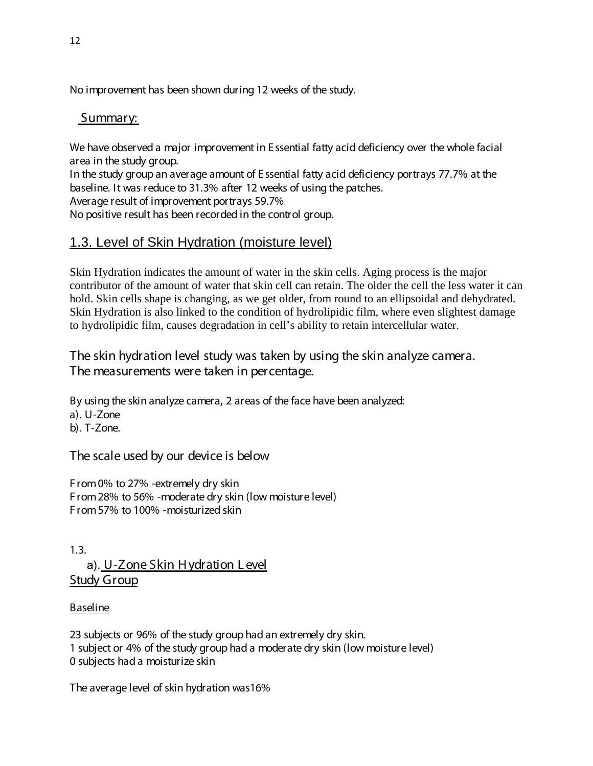No improvement has been shown during 12 weeks of the study.

# Summary:

We have observed a major improvement in E ssential fatty acid deficiency over the whole facial area in the study group.

In the study group an average amount of E ssential fatty acid deficiency portrays 77.7% at the baseline. It was reduce to 31.3% after 12 weeks of using the patches. Average result of improvement portrays 59.7% No positive result has been recorded in the control group.

# 1.3. Level of Skin Hydration (moisture level)

Skin Hydration indicates the amount of water in the skin cells. Aging process is the major contributor of the amount of water that skin cell can retain. The older the cell the less water it can hold. Skin cells shape is changing, as we get older, from round to an ellipsoidal and dehydrated. Skin Hydration is also linked to the condition of hydrolipidic film, where even slightest damage to hydrolipidic film, causes degradation in cell's ability to retain intercellular water.

The skin hydration level study was taken by using the skin analyze camera. The measurements were taken in percentage.

By using the skin analyze camera, 2 areas of the face have been analyzed: a). U-Zone b). T-Zone.

The scale used by our device is below

F rom 0% to 27% -extremely dry skin F rom 28% to 56% -moderate dry skin (low moisture level) F rom 57% to 100% -moisturized skin

1.3. а). U-Zone Skin H ydration L evel Study Group

# Baseline

23 subjects or 96% of the study group had an extremely dry skin. 1 subject or 4% of the study group had a moderate dry skin (low moisture level) 0 subjects had a moisturize skin

The average level of skin hydration was16%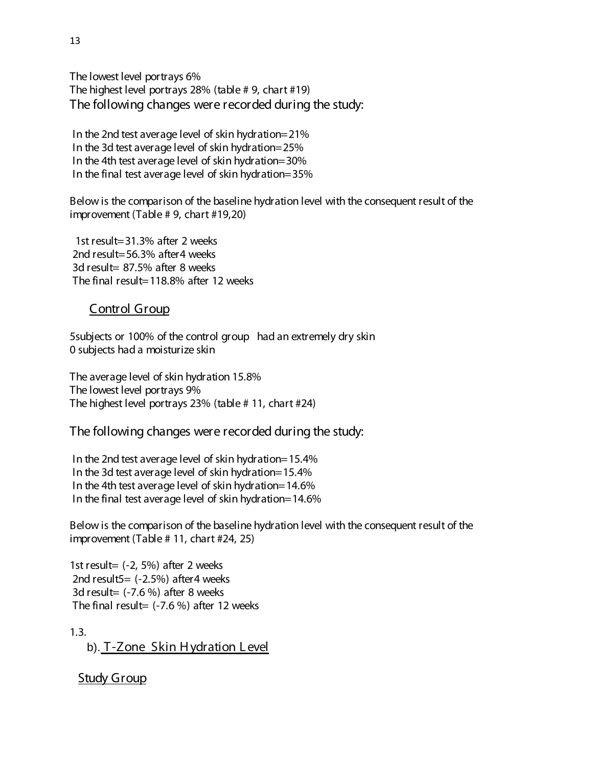The lowest level portrays 6% The highest level portrays 28% (table # 9, chart #19) The following changes were recorded during the study:

In the 2nd test average level of skin hydration=21% In the 3d test average level of skin hydration=25% In the 4th test average level of skin hydration=30% In the final test average level of skin hydration=35%

Below is the comparison of the baseline hydration level with the consequent result of the improvement (Table # 9, chart #19,20)

 1st result=31.3% after 2 weeks 2nd result=56.3% after4 weeks 3d result= 87.5% after 8 weeks The final result=118.8% after 12 weeks

# Control Group

5subjects or 100% of the control group had an extremely dry skin 0 subjects had a moisturize skin

The average level of skin hydration 15.8% The lowest level portrays 9% The highest level portrays 23% (table # 11, chart #24)

The following changes were recorded during the study:

In the 2nd test average level of skin hydration=15.4% In the 3d test average level of skin hydration=15.4% In the 4th test average level of skin hydration=14.6% In the final test average level of skin hydration=14.6%

Below is the comparison of the baseline hydration level with the consequent result of the improvement (Table # 11, chart #24, 25)

1st result=  $(-2, 5%)$  after 2 weeks 2nd result $5 = (-2.5\%)$  after 4 weeks 3d result=  $(-7.6 %)$  after 8 weeks The final result=  $(-7.6 %)$  after 12 weeks

1.3.

b). T-Zone Skin Hydration Level

Study Group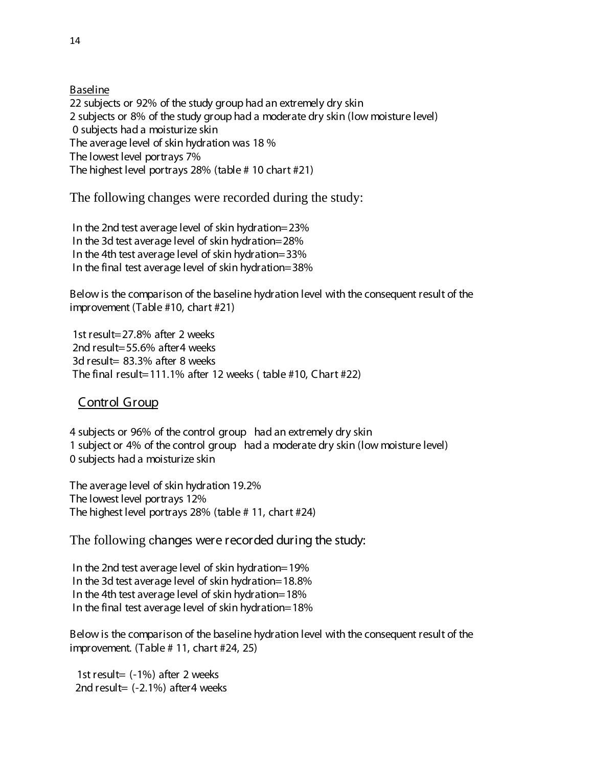22 subjects or 92% of the study group had an extremely dry skin Baseline 2 subjects or 8% of the study group had a moderate dry skin (low moisture level) 0 subjects had a moisturize skin The average level of skin hydration was 18 % The lowest level portrays 7% The highest level portrays 28% (table # 10 chart #21)

The following changes were recorded during the study:

In the 2nd test average level of skin hydration=23% In the 3d test average level of skin hydration=28% In the 4th test average level of skin hydration=33% In the final test average level of skin hydration=38%

Below is the comparison of the baseline hydration level with the consequent result of the improvement (Table #10, chart #21)

1st result=27.8% after 2 weeks 2nd result=55.6% after4 weeks 3d result= 83.3% after 8 weeks The final result=111.1% after 12 weeks ( table #10, Chart #22)

# Control Group

4 subjects or 96% of the control group had an extremely dry skin 1 subject or 4% of the control group had a moderate dry skin (low moisture level) 0 subjects had a moisturize skin

The average level of skin hydration 19.2% The lowest level portrays 12% The highest level portrays 28% (table # 11, chart #24)

The following changes were recorded during the study:

In the 2nd test average level of skin hydration=19% In the 3d test average level of skin hydration=18.8% In the 4th test average level of skin hydration=18% In the final test average level of skin hydration=18%

Below is the comparison of the baseline hydration level with the consequent result of the improvement. (Table # 11, chart #24, 25)

1st result $=$  (-1%) after 2 weeks 2nd result=  $(-2.1\%)$  after4 weeks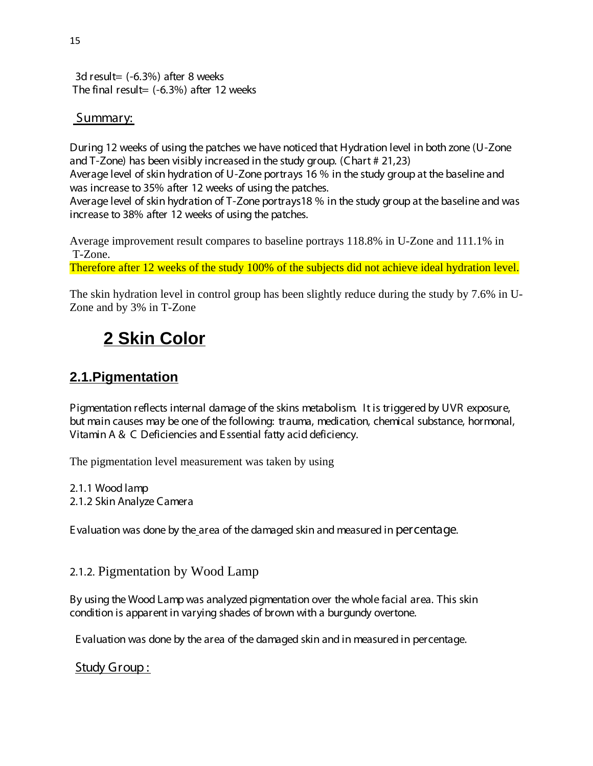3d result=  $(-6.3%)$  after 8 weeks The final result=  $(-6.3%)$  after 12 weeks

# Summary:

During 12 weeks of using the patches we have noticed that Hydration level in both zone (U-Zone and T-Zone) has been visibly increased in the study group. (Chart # 21,23)

Average level of skin hydration of U-Zone portrays 16 % in the study group at the baseline and was increase to 35% after 12 weeks of using the patches.

Average level of skin hydration of T-Zone portrays18 % in the study group at the baseline and was increase to 38% after 12 weeks of using the patches.

Average improvement result compares to baseline portrays 118.8% in U-Zone and 111.1% in T-Zone.

Therefore after 12 weeks of the study 100% of the subjects did not achieve ideal hydration level.

The skin hydration level in control group has been slightly reduce during the study by 7.6% in U-Zone and by 3% in T-Zone

# **2 Skin Color**

# **2.1.Pigmentation**

Pigmentation reflects internal damage of the skins metabolism. It is triggered by UVR exposure, but main causes may be one of the following: trauma, medication, chemical substance, hormonal, Vitamin A & C Deficiencies and E ssential fatty acid deficiency.

The pigmentation level measurement was taken by using

2.1.1 Wood lamp 2.1.2 Skin Analyze Camera

E valuation was done by the area of the damaged skin and measured in percentage.

2.1.2. Pigmentation by Wood Lamp

By using the Wood Lamp was analyzed pigmentation over the whole facial area. This skin condition is apparent in varying shades of brown with a burgundy overtone.

E valuation was done by the area of the damaged skin and in measured in percentage.

Study Group :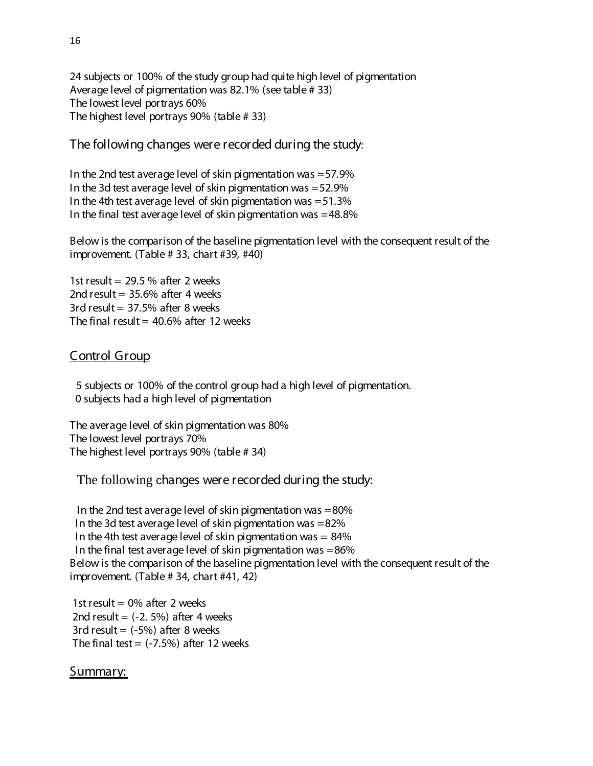24 subjects or 100% of the study group had quite high level of pigmentation Average level of pigmentation was 82.1% (see table # 33) The lowest level portrays 60% The highest level portrays 90% (table # 33)

The following changes were recorded during the study:

In the 2nd test average level of skin pigmentation was =57.9% In the 3d test average level of skin pigmentation was  $=52.9\%$ In the 4th test average level of skin pigmentation was =51.3% In the final test average level of skin pigmentation was  $=48.8\%$ 

Below is the comparison of the baseline pigmentation level with the consequent result of the improvement. (Table # 33, chart #39, #40)

1st result  $= 29.5 %$  after 2 weeks 2nd result  $= 35.6\%$  after 4 weeks 3rd result =  $37.5\%$  after 8 weeks The final result =  $40.6\%$  after 12 weeks

## Control Group

 5 subjects or 100% of the control group had a high level of pigmentation. 0 subjects had a high level of pigmentation

The average level of skin pigmentation was 80% The lowest level portrays 70% The highest level portrays 90% (table # 34)

The following changes were recorded during the study:

In the 2nd test average level of skin pigmentation was =80% In the 3d test average level of skin pigmentation was  $=82\%$ In the 4th test average level of skin pigmentation was  $= 84\%$ In the final test average level of skin pigmentation was  $=86\%$ Below is the comparison of the baseline pigmentation level with the consequent result of the improvement. (Table # 34, chart #41, 42)

1st result  $= 0\%$  after 2 weeks 2nd result  $=$   $(-2, 5\%)$  after 4 weeks 3rd result  $=$   $(-5%)$  after 8 weeks The final test  $=$  (-7.5%) after 12 weeks

# Summary: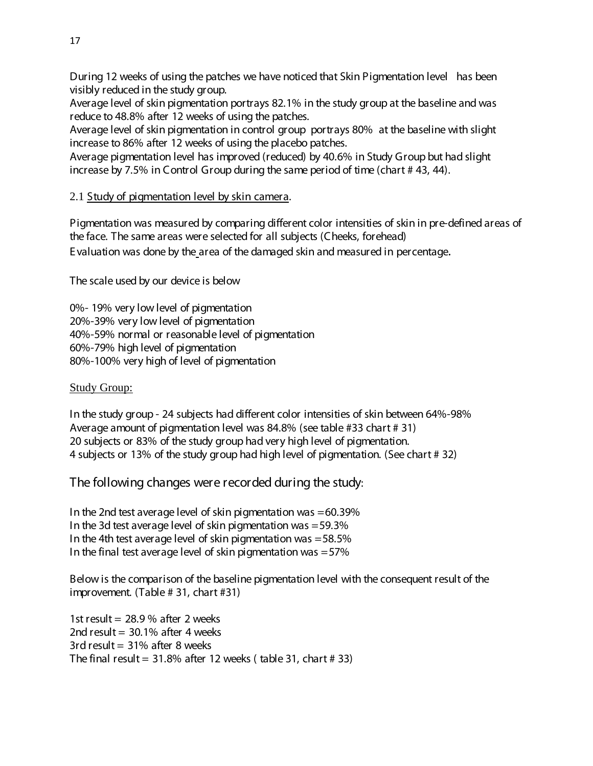During 12 weeks of using the patches we have noticed that Skin Pigmentation level has been visibly reduced in the study group.

Average level of skin pigmentation portrays 82.1% in the study group at the baseline and was reduce to 48.8% after 12 weeks of using the patches.

Average level of skin pigmentation in control group portrays 80% at the baseline with slight increase to 86% after 12 weeks of using the placebo patches.

Average pigmentation level has improved (reduced) by 40.6% in Study Group but had slight increase by 7.5% in Control Group during the same period of time (chart # 43, 44).

# 2.1 Study of pigmentation level by skin camera.

Pigmentation was measured by comparing different color intensities of skin in pre-defined areas of the face. The same areas were selected for all subjects (Cheeks, forehead) E valuation was done by the area of the damaged skin and measured in percentage.

The scale used by our device is below

0%- 19% very low level of pigmentation 20%-39% very low level of pigmentation 40%-59% normal or reasonable level of pigmentation 60%-79% high level of pigmentation 80%-100% very high of level of pigmentation

# Study Group:

In the study group - 24 subjects had different color intensities of skin between 64%-98% Average amount of pigmentation level was 84.8% (see table #33 chart # 31) 20 subjects or 83% of the study group had very high level of pigmentation. 4 subjects or 13% of the study group had high level of pigmentation. (See chart # 32)

The following changes were recorded during the study:

In the 2nd test average level of skin pigmentation was  $=60.39\%$ In the 3d test average level of skin pigmentation was  $=59.3\%$ In the 4th test average level of skin pigmentation was  $=58.5\%$ In the final test average level of skin pigmentation was =57%

Below is the comparison of the baseline pigmentation level with the consequent result of the improvement. (Table # 31, chart #31)

1st result =  $28.9%$  after 2 weeks 2nd result =  $30.1\%$  after 4 weeks 3rd result  $= 31\%$  after 8 weeks The final result =  $31.8\%$  after 12 weeks (table 31, chart # 33)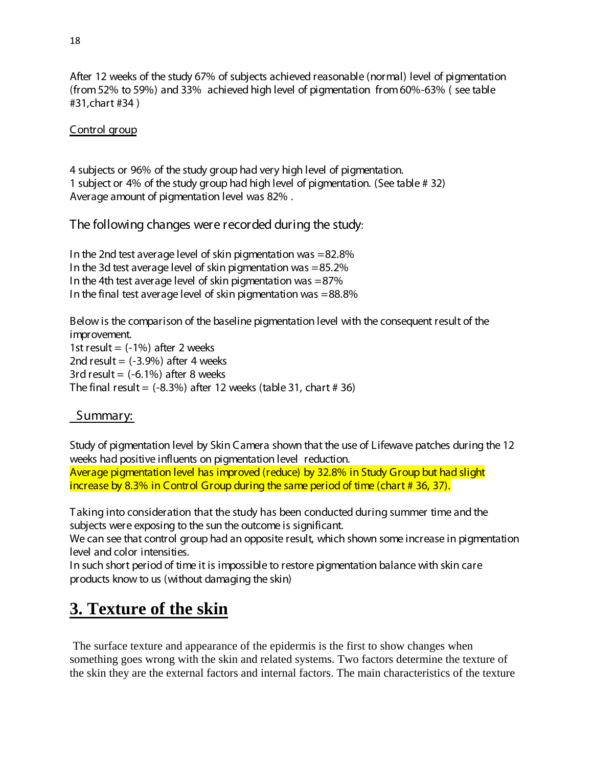After 12 weeks of the study 67% of subjects achieved reasonable (normal) level of pigmentation (from 52% to 59%) and 33% achieved high level of pigmentation from 60%-63% ( see table #31,chart #34 )

#### Control group

4 subjects or 96% of the study group had very high level of pigmentation. 1 subject or 4% of the study group had high level of pigmentation. (See table # 32) Average amount of pigmentation level was 82% .

The following changes were recorded during the study:

In the 2nd test average level of skin pigmentation was =82.8% In the 3d test average level of skin pigmentation was  $=85.2\%$ In the 4th test average level of skin pigmentation was =87% In the final test average level of skin pigmentation was =88.8%

Below is the comparison of the baseline pigmentation level with the consequent result of the improvement. 1st result  $=$  (-1%) after 2 weeks 2nd result  $=$  (-3.9%) after 4 weeks 3rd result  $=$   $(-6.1\%)$  after 8 weeks The final result =  $(-8.3\%)$  after 12 weeks (table 31, chart # 36)

# Summary:

Study of pigmentation level by Skin Camera shown that the use of Lifewave patches during the 12 weeks had positive influents on pigmentation level reduction.

Average pigmentation level has improved (reduce) by 32.8% in Study Group but had slight increase by 8.3% in Control Group during the same period of time (chart # 36, 37).

Taking into consideration that the study has been conducted during summer time and the subjects were exposing to the sun the outcome is significant.

We can see that control group had an opposite result, which shown some increase in pigmentation level and color intensities.

In such short period of time it is impossible to restore pigmentation balance with skin care products know to us (without damaging the skin)

# **3. Texture of the skin**

The surface texture and appearance of the epidermis is the first to show changes when something goes wrong with the skin and related systems. Two factors determine the texture of the skin they are the external factors and internal factors. The main characteristics of the texture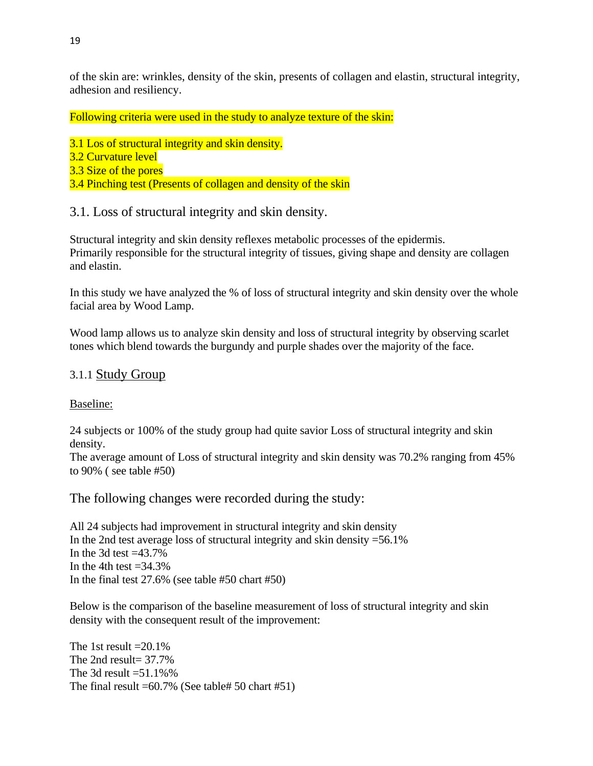of the skin are: wrinkles, density of the skin, presents of collagen and elastin, structural integrity, adhesion and resiliency.

Following criteria were used in the study to analyze texture of the skin:

3.1 Los of structural integrity and skin density. 3.2 Curvature level 3.3 Size of the pores 3.4 Pinching test (Presents of collagen and density of the skin

3.1. Loss of structural integrity and skin density.

Structural integrity and skin density reflexes metabolic processes of the epidermis. Primarily responsible for the structural integrity of tissues, giving shape and density are collagen and elastin.

In this study we have analyzed the % of loss of structural integrity and skin density over the whole facial area by Wood Lamp.

Wood lamp allows us to analyze skin density and loss of structural integrity by observing scarlet tones which blend towards the burgundy and purple shades over the majority of the face.

# 3.1.1 Study Group

#### Baseline:

24 subjects or 100% of the study group had quite savior Loss of structural integrity and skin density.

The average amount of Loss of structural integrity and skin density was 70.2% ranging from 45% to 90% ( see table #50)

The following changes were recorded during the study:

All 24 subjects had improvement in structural integrity and skin density In the 2nd test average loss of structural integrity and skin density =56.1% In the 3d test  $=43.7\%$ In the 4th test  $=34.3\%$ In the final test 27.6% (see table #50 chart #50)

Below is the comparison of the baseline measurement of loss of structural integrity and skin density with the consequent result of the improvement:

The 1st result  $=20.1\%$ The 2nd result= 37.7% The 3d result  $=51.1\%$ % The final result  $=60.7\%$  (See table# 50 chart #51)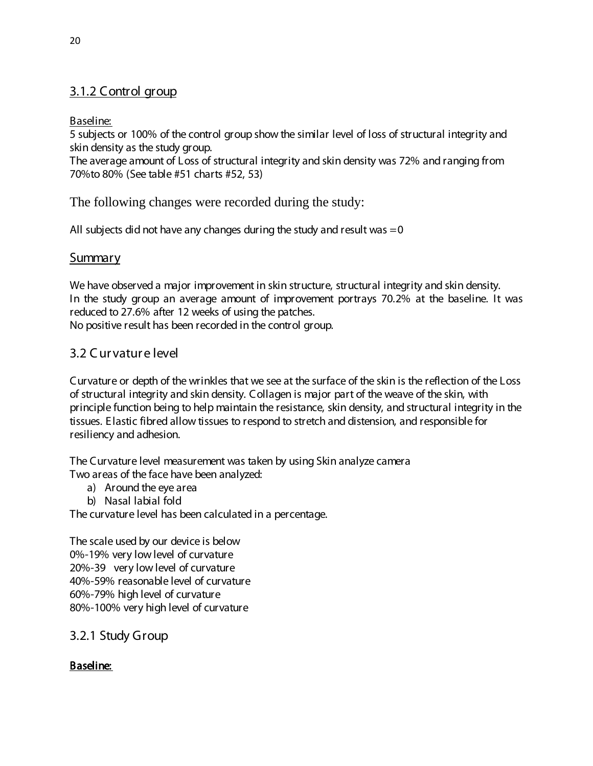# 3.1.2 Control group

Baseline:

5 subjects or 100% of the control group show the similar level of loss of structural integrity and skin density as the study group.

The average amount of Loss of structural integrity and skin density was 72% and ranging from 70%to 80% (See table #51 charts #52, 53)

The following changes were recorded during the study:

All subjects did not have any changes during the study and result was  $=0$ 

# Summary

We have observed a major improvement in skin structure, structural integrity and skin density. In the study group an average amount of improvement portrays 70.2% at the baseline. It was reduced to 27.6% after 12 weeks of using the patches. No positive result has been recorded in the control group.

# 3.2 C ur vatur e level

Curvature or depth of the wrinkles that we see at the surface of the skin is the reflection of the Loss of structural integrity and skin density. Collagen is major part of the weave of the skin, with principle function being to help maintain the resistance, skin density, and structural integrity in the tissues. E lastic fibred allow tissues to respond to stretch and distension, and responsible for resiliency and adhesion.

The Curvature level measurement was taken by using Skin analyze camera Two areas of the face have been analyzed:

- a) Around the eye area
- b) Nasal labial fold

The curvature level has been calculated in a percentage.

The scale used by our device is below 0%-19% very low level of curvature 20%-39 very low level of curvature 40%-59% reasonable level of curvature 60%-79% high level of curvature 80%-100% very high level of curvature

3.2.1 Study Group

# Baseline: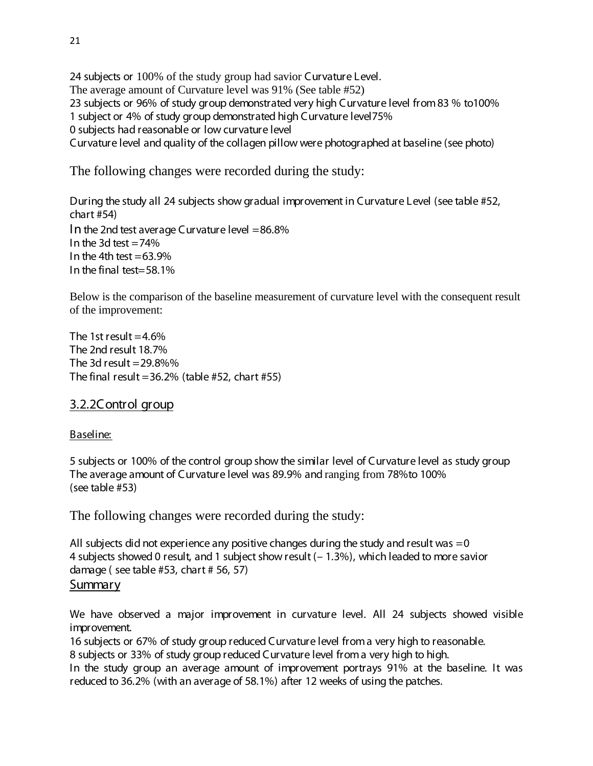24 subjects or 100% of the study group had savior Curvature Level. The average amount of Curvature level was 91% (See table #52) 23 subjects or 96% of study group demonstrated very high Curvature level from 83 % to100% 1 subject or 4% of study group demonstrated high Curvature level75% 0 subjects had reasonable or low curvature level Curvature level and quality of the collagen pillow were photographed at baseline (see photo)

The following changes were recorded during the study:

During the study all 24 subjects show gradual improvement in Curvature Level (see table #52, chart #54) In the 2nd test average Curvature level  $=86.8\%$ In the 3d test  $=74\%$ In the 4th test  $=63.9\%$ In the final test= $58.1\%$ 

Below is the comparison of the baseline measurement of curvature level with the consequent result of the improvement:

The 1st result  $=4.6\%$ The 2nd result 18.7% The 3d result  $=$  29.8%% The final result =  $36.2\%$  (table #52, chart #55)

# 3.2.2Control group

#### Baseline:

5 subjects or 100% of the control group show the similar level of Curvature level as study group The average amount of Curvature level was 89.9% and ranging from 78%to 100% (see table #53)

The following changes were recorded during the study:

All subjects did not experience any positive changes during the study and result was  $=0$ 4 subjects showed 0 result, and 1 subject show result (– 1.3%), which leaded to more savior damage ( see table #53, chart # 56, 57)

#### Summary

We have observed a major improvement in curvature level. All 24 subjects showed visible improvement.

16 subjects or 67% of study group reduced Curvature level from a very high to reasonable.

8 subjects or 33% of study group reduced Curvature level from a very high to high.

In the study group an average amount of improvement portrays 91% at the baseline. It was reduced to 36.2% (with an average of 58.1%) after 12 weeks of using the patches.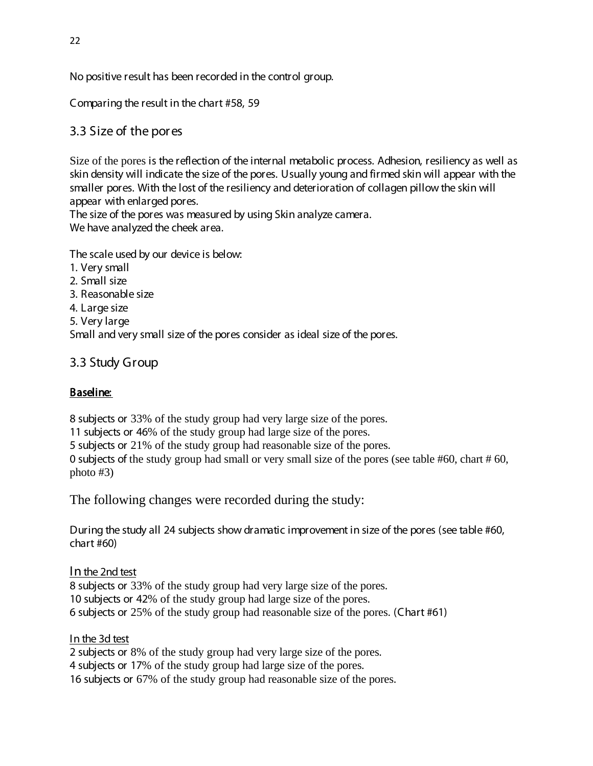No positive result has been recorded in the control group.

Comparing the result in the chart #58, 59

# 3.3 Size of the por es

Size of the pores is the reflection of the internal metabolic process. Adhesion, resiliency as well as skin density will indicate the size of the pores. Usually young and firmed skin will appear with the smaller pores. With the lost of the resiliency and deterioration of collagen pillow the skin will appear with enlarged pores.

The size of the pores was measured by using Skin analyze camera. We have analyzed the cheek area.

The scale used by our device is below:

1. Very small 2. Small size 3. Reasonable size 4. Large size 5. Very large

Small and very small size of the pores consider as ideal size of the pores.

3.3 Study Group

# Baseline:

8 subjects or 33% of the study group had very large size of the pores.

11 subjects or 46% of the study group had large size of the pores.

5 subjects or 21% of the study group had reasonable size of the pores.

0 subjects of the study group had small or very small size of the pores (see table #60, chart # 60, photo #3)

The following changes were recorded during the study:

During the study all 24 subjects show dramatic improvement in size of the pores (see table #60, chart #60)

In the 2nd test

8 subjects or 33% of the study group had very large size of the pores. 10 subjects or 42% of the study group had large size of the pores. 6 subjects or 25% of the study group had reasonable size of the pores. (Chart #61)

In the 3d test

2 subjects or 8% of the study group had very large size of the pores. 4 subjects or 17% of the study group had large size of the pores. 16 subjects or 67% of the study group had reasonable size of the pores.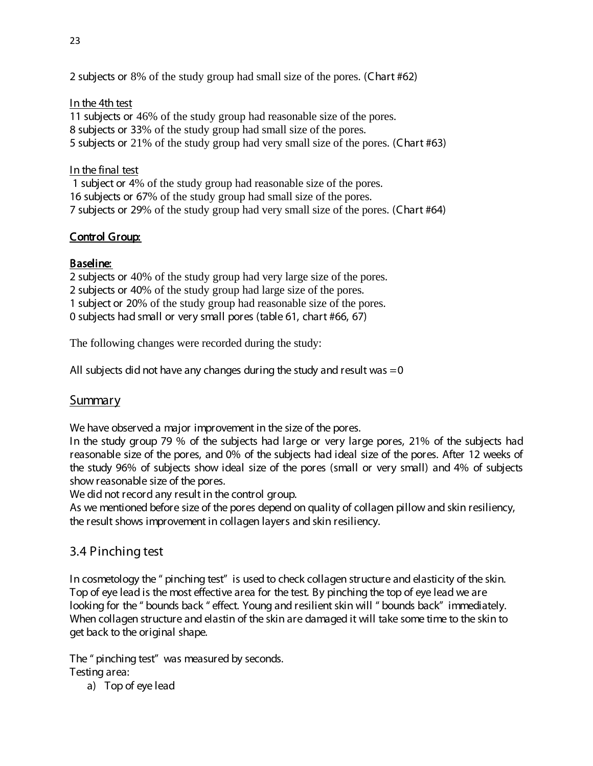2 subjects or 8% of the study group had small size of the pores. (Chart #62)

#### In the 4th test

11 subjects or 46% of the study group had reasonable size of the pores. 8 subjects or 33% of the study group had small size of the pores. 5 subjects or 21% of the study group had very small size of the pores. (Chart #63)

#### In the final test

1 subject or 4% of the study group had reasonable size of the pores. 16 subjects or 67% of the study group had small size of the pores. 7 subjects or 29% of the study group had very small size of the pores. (Chart #64)

# Control Group:

## Baseline:

2 subjects or 40% of the study group had very large size of the pores. 2 subjects or 40% of the study group had large size of the pores. 1 subject or 20% of the study group had reasonable size of the pores. 0 subjects had small or very small pores (table 61, chart #66, 67)

The following changes were recorded during the study:

All subjects did not have any changes during the study and result was  $=0$ 

# Summary

We have observed a major improvement in the size of the pores.

In the study group 79 % of the subjects had large or very large pores, 21% of the subjects had reasonable size of the pores, and 0% of the subjects had ideal size of the pores. After 12 weeks of the study 96% of subjects show ideal size of the pores (small or very small) and 4% of subjects show reasonable size of the pores.

We did not record any result in the control group.

As we mentioned before size of the pores depend on quality of collagen pillow and skin resiliency, the result shows improvement in collagen layers and skin resiliency.

# 3.4 Pinching test

In cosmetology the " pinching test" is used to check collagen structure and elasticity of the skin. Top of eye lead is the most effective area for the test. By pinching the top of eye lead we are looking for the " bounds back " effect. Young and resilient skin will " bounds back" immediately. When collagen structure and elastin of the skin are damaged it will take some time to the skin to get back to the original shape.

The " pinching test" was measured by seconds. Testing area:

a) Top of eye lead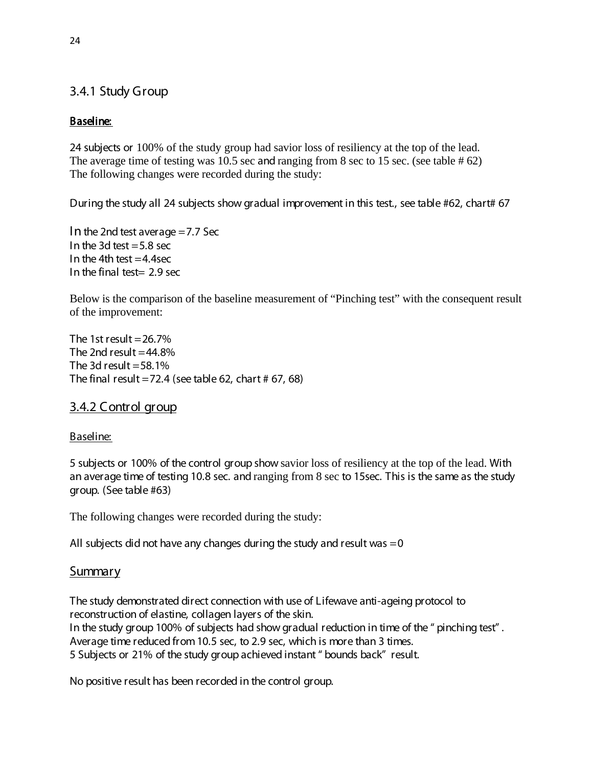# 3.4.1 Study Group

## Baseline:

24 subjects or 100% of the study group had savior loss of resiliency at the top of the lead. The average time of testing was 10.5 sec and ranging from 8 sec to 15 sec. (see table # 62) The following changes were recorded during the study:

During the study all 24 subjects show gradual improvement in this test., see table #62, chart# 67

In the 2nd test average  $=$  7.7 Sec In the 3d test  $=$  5.8 sec In the 4th test  $=4.4$ sec In the final test= 2.9 sec

Below is the comparison of the baseline measurement of "Pinching test" with the consequent result of the improvement:

The 1st result  $=$  26.7% The 2nd result  $=44.8\%$ The 3d result  $=$  58.1% The final result =72.4 (see table 62, chart # 67, 68)

# 3.4.2 Control group

#### Baseline:

5 subjects or 100% of the control group show savior loss of resiliency at the top of the lead. With an average time of testing 10.8 sec. and ranging from 8 sec to 15sec. This is the same as the study group. (See table #63)

The following changes were recorded during the study:

All subjects did not have any changes during the study and result was  $=0$ 

# **Summary**

The study demonstrated direct connection with use of Lifewave anti-ageing protocol to reconstruction of elastine, collagen layers of the skin. In the study group 100% of subjects had show gradual reduction in time of the " pinching test" . Average time reduced from 10.5 sec, to 2.9 sec, which is more than 3 times. 5 Subjects or 21% of the study group achieved instant " bounds back" result.

No positive result has been recorded in the control group.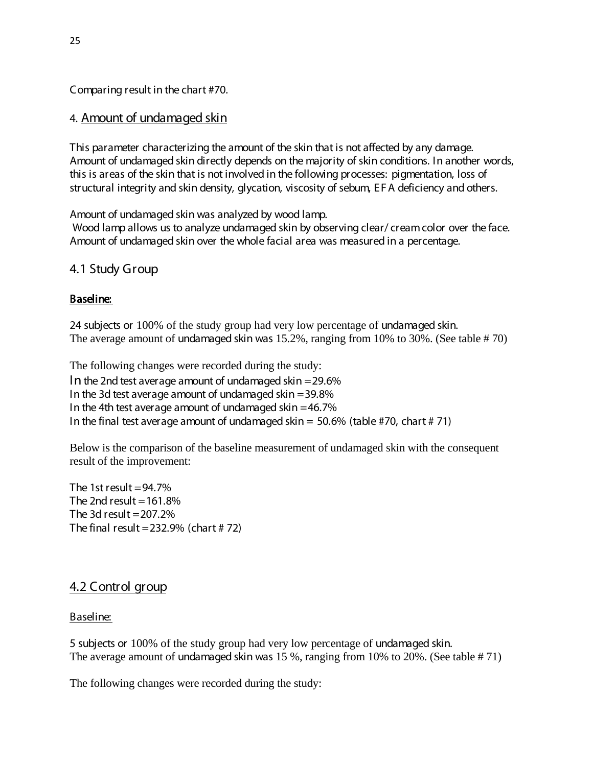Comparing result in the chart #70.

# 4. Amount of undamaged skin

This parameter characterizing the amount of the skin that is not affected by any damage. Amount of undamaged skin directly depends on the majority of skin conditions. In another words, this is areas of the skin that is not involved in the following processes: pigmentation, loss of structural integrity and skin density, glycation, viscosity of sebum, E F A deficiency and others.

Amount of undamaged skin was analyzed by wood lamp. Wood lamp allows us to analyze undamaged skin by observing clear/ cream color over the face. Amount of undamaged skin over the whole facial area was measured in a percentage.

4.1 Study Group

## Baseline:

24 subjects or 100% of the study group had very low percentage of undamaged skin. The average amount of undamaged skin was 15.2%, ranging from 10% to 30%. (See table # 70)

The following changes were recorded during the study: In the 2nd test average amount of undamaged skin  $=$  29.6% In the 3d test average amount of undamaged skin  $=$  39.8% In the 4th test average amount of undamaged skin  $=46.7\%$ In the final test average amount of undamaged skin  $= 50.6\%$  (table #70, chart # 71)

Below is the comparison of the baseline measurement of undamaged skin with the consequent result of the improvement:

The 1st result  $=94.7\%$ The 2nd result  $=161.8\%$ The 3d result  $=$  207.2% The final result  $=$  232.9% (chart  $\#$  72)

# 4.2 Control group

#### Baseline:

5 subjects or 100% of the study group had very low percentage of undamaged skin. The average amount of undamaged skin was 15 %, ranging from 10% to 20%. (See table # 71)

The following changes were recorded during the study: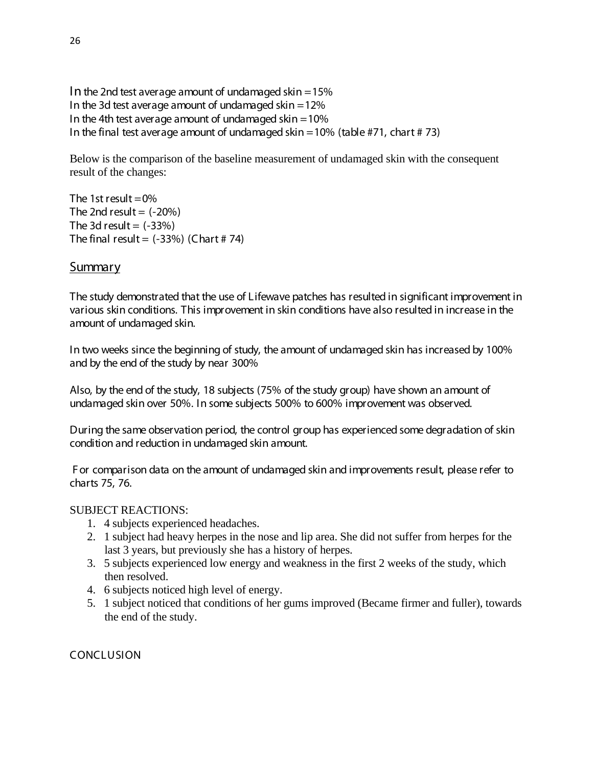In the 2nd test average amount of undamaged skin  $=15%$ In the 3d test average amount of undamaged skin  $=12\%$ In the 4th test average amount of undamaged skin  $=10\%$ In the final test average amount of undamaged skin  $=10\%$  (table #71, chart #73)

Below is the comparison of the baseline measurement of undamaged skin with the consequent result of the changes:

The 1st result  $=0\%$ The 2nd result  $=$   $(-20\%)$ The 3d result  $=$   $(-33%)$ The final result =  $(-33%)$  (Chart #74)

# Summary

The study demonstrated that the use of Lifewave patches has resulted in significant improvement in various skin conditions. This improvement in skin conditions have also resulted in increase in the amount of undamaged skin.

In two weeks since the beginning of study, the amount of undamaged skin has increased by 100% and by the end of the study by near 300%

Also, by the end of the study, 18 subjects (75% of the study group) have shown an amount of undamaged skin over 50%. In some subjects 500% to 600% improvement was observed.

During the same observation period, the control group has experienced some degradation of skin condition and reduction in undamaged skin amount.

F or comparison data on the amount of undamaged skin and improvements result, please refer to charts 75, 76.

#### SUBJECT REACTIONS:

- 1. 4 subjects experienced headaches.
- 2. 1 subject had heavy herpes in the nose and lip area. She did not suffer from herpes for the last 3 years, but previously she has a history of herpes.
- 3. 5 subjects experienced low energy and weakness in the first 2 weeks of the study, which then resolved.
- 4. 6 subjects noticed high level of energy.
- 5. 1 subject noticed that conditions of her gums improved (Became firmer and fuller), towards the end of the study.

CONCLUSION